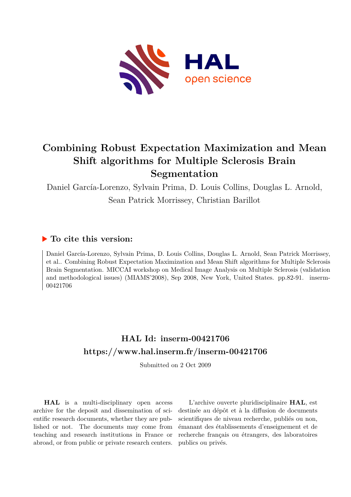

# **Combining Robust Expectation Maximization and Mean Shift algorithms for Multiple Sclerosis Brain Segmentation**

Daniel García-Lorenzo, Sylvain Prima, D. Louis Collins, Douglas L. Arnold, Sean Patrick Morrissey, Christian Barillot

# **To cite this version:**

Daniel García-Lorenzo, Sylvain Prima, D. Louis Collins, Douglas L. Arnold, Sean Patrick Morrissey, et al.. Combining Robust Expectation Maximization and Mean Shift algorithms for Multiple Sclerosis Brain Segmentation. MICCAI workshop on Medical Image Analysis on Multiple Sclerosis (validation and methodological issues) (MIAMS'2008), Sep 2008, New York, United States. pp.82-91. inserm-00421706ff

# **HAL Id: inserm-00421706 <https://www.hal.inserm.fr/inserm-00421706>**

Submitted on 2 Oct 2009

**HAL** is a multi-disciplinary open access archive for the deposit and dissemination of scientific research documents, whether they are published or not. The documents may come from teaching and research institutions in France or abroad, or from public or private research centers.

L'archive ouverte pluridisciplinaire **HAL**, est destinée au dépôt et à la diffusion de documents scientifiques de niveau recherche, publiés ou non, émanant des établissements d'enseignement et de recherche français ou étrangers, des laboratoires publics ou privés.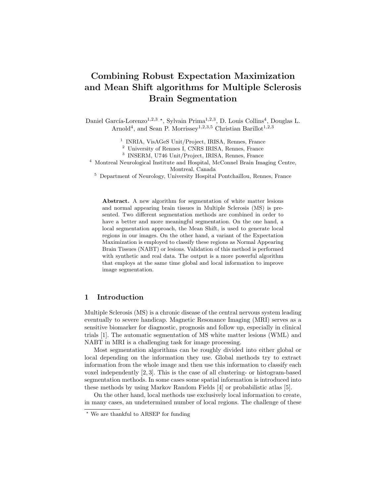# Combining Robust Expectation Maximization and Mean Shift algorithms for Multiple Sclerosis Brain Segmentation

Daniel García-Lorenzo<sup>1,2,3</sup> \*, Sylvain Prima<sup>1,2,3</sup>, D. Louis Collins<sup>4</sup>, Douglas L. Arnold<sup>4</sup>, and Sean P. Morrissey<sup>1,2,3,5</sup> Christian Barillot<sup>1,2,3</sup>

1 INRIA, VisAGeS Unit/Project, IRISA, Rennes, France

<sup>2</sup> University of Rennes I, CNRS IRISA, Rennes, France

3 INSERM, U746 Unit/Project, IRISA, Rennes, France

<sup>4</sup> Montreal Neurological Institute and Hospital, McConnel Brain Imaging Centre, Montreal, Canada

<sup>5</sup> Department of Neurology, University Hospital Pontchaillou, Rennes, France

Abstract. A new algorithm for segmentation of white matter lesions and normal appearing brain tissues in Multiple Sclerosis (MS) is presented. Two different segmentation methods are combined in order to have a better and more meaningful segmentation. On the one hand, a local segmentation approach, the Mean Shift, is used to generate local regions in our images. On the other hand, a variant of the Expectation Maximization is employed to classify these regions as Normal Appearing Brain Tissues (NABT) or lesions. Validation of this method is performed with synthetic and real data. The output is a more powerful algorithm that employs at the same time global and local information to improve image segmentation.

## 1 Introduction

Multiple Sclerosis (MS) is a chronic disease of the central nervous system leading eventually to severe handicap. Magnetic Resonance Imaging (MRI) serves as a sensitive biomarker for diagnostic, prognosis and follow up, especially in clinical trials [1]. The automatic segmentation of MS white matter lesions (WML) and NABT in MRI is a challenging task for image processing.

Most segmentation algorithms can be roughly divided into either global or local depending on the information they use. Global methods try to extract information from the whole image and then use this information to classify each voxel independently [2, 3]. This is the case of all clustering- or histogram-based segmentation methods. In some cases some spatial information is introduced into these methods by using Markov Random Fields [4] or probabilistic atlas [5].

On the other hand, local methods use exclusively local information to create, in many cases, an undetermined number of local regions. The challenge of these

<sup>⋆</sup> We are thankful to ARSEP for funding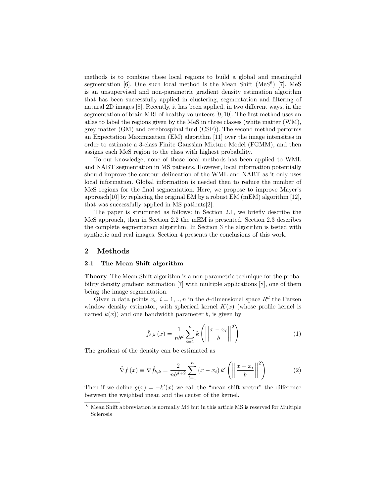methods is to combine these local regions to build a global and meaningful segmentation [6]. One such local method is the Mean Shift (MeS<sup>6</sup>) [7]. MeS is an unsupervised and non-parametric gradient density estimation algorithm that has been successfully applied in clustering, segmentation and filtering of natural 2D images [8]. Recently, it has been applied, in two different ways, in the segmentation of brain MRI of healthy volunteers [9, 10]. The first method uses an atlas to label the regions given by the MeS in three classes (white matter (WM), grey matter (GM) and cerebrospinal fluid (CSF)). The second method performs an Expectation Maximization (EM) algorithm [11] over the image intensities in order to estimate a 3-class Finite Gaussian Mixture Model (FGMM), and then assigns each MeS region to the class with highest probability.

To our knowledge, none of those local methods has been applied to WML and NABT segmentation in MS patients. However, local information potentially should improve the contour delineation of the WML and NABT as it only uses local information. Global information is needed then to reduce the number of MeS regions for the final segmentation. Here, we propose to improve Mayer's approach[10] by replacing the original EM by a robust EM (mEM) algorithm  $[12]$ , that was successfully applied in MS patients[2].

The paper is structured as follows: in Section 2.1, we briefly describe the MeS approach, then in Section 2.2 the mEM is presented. Section 2.3 describes the complete segmentation algorithm. In Section 3 the algorithm is tested with synthetic and real images. Section 4 presents the conclusions of this work.

### 2 Methods

#### 2.1 The Mean Shift algorithm

Theory The Mean Shift algorithm is a non-parametric technique for the probability density gradient estimation [7] with multiple applications [8], one of them being the image segmentation.

Given *n* data points  $x_i$ ,  $i = 1, ..., n$  in the *d*-dimensional space  $R^d$  the Parzen window density estimator, with spherical kernel  $K(x)$  (whose profile kernel is named  $k(x)$  and one bandwidth parameter b, is given by

$$
\hat{f}_{b,k}\left(x\right) = \frac{1}{n b^d} \sum_{i=1}^n k \left( \left| \left| \frac{x - x_i}{b} \right| \right|^2 \right) \tag{1}
$$

The gradient of the density can be estimated as

$$
\hat{\nabla}f\left(x\right) \equiv \nabla \hat{f}_{b,k} = \frac{2}{nb^{d+2}} \sum_{i=1}^{n} \left(x - x_i\right) k' \left(\left|\left|\frac{x - x_i}{b}\right|\right|^2\right) \tag{2}
$$

Then if we define  $g(x) = -k'(x)$  we call the "mean shift vector" the difference between the weighted mean and the center of the kernel.

 $6$  Mean Shift abbreviation is normally MS but in this article MS is reserved for Multiple Sclerosis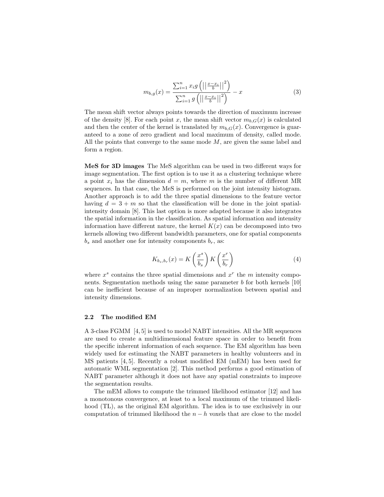$$
m_{b,g}(x) = \frac{\sum_{i=1}^{n} x_i g\left(||\frac{x - x_i}{b}||^2\right)}{\sum_{i=1}^{n} g\left(||\frac{x - x_i}{b}||^2\right)} - x
$$
\n(3)

The mean shift vector always points towards the direction of maximum increase of the density [8]. For each point x, the mean shift vector  $m_{b,G}(x)$  is calculated and then the center of the kernel is translated by  $m_{b,G}(x)$ . Convergence is guaranteed to a zone of zero gradient and local maximum of density, called mode. All the points that converge to the same mode  $M$ , are given the same label and form a region.

MeS for 3D images The MeS algorithm can be used in two different ways for image segmentation. The first option is to use it as a clustering technique where a point  $x_i$  has the dimension  $d = m$ , where m is the number of different MR sequences. In that case, the MeS is performed on the joint intensity histogram. Another approach is to add the three spatial dimensions to the feature vector having  $d = 3 + m$  so that the classification will be done in the joint spatialintensity domain [8]. This last option is more adapted because it also integrates the spatial information in the classification. As spatial information and intensity information have different nature, the kernel  $K(x)$  can be decomposed into two kernels allowing two different bandwidth parameters, one for spatial components  $b_s$  and another one for intensity components  $b_r$ , as:

$$
K_{b_s,b_r}(x) = K\left(\frac{x^s}{b_s}\right) K\left(\frac{x^r}{b_r}\right) \tag{4}
$$

where  $x^s$  contains the three spatial dimensions and  $x^r$  the m intensity components. Segmentation methods using the same parameter b for both kernels [10] can be inefficient because of an improper normalization between spatial and intensity dimensions.

#### 2.2 The modified EM

A 3-class FGMM [4, 5] is used to model NABT intensities. All the MR sequences are used to create a multidimensional feature space in order to benefit from the specific inherent information of each sequence. The EM algorithm has been widely used for estimating the NABT parameters in healthy volunteers and in MS patients [4, 5]. Recently a robust modified EM (mEM) has been used for automatic WML segmentation [2]. This method performs a good estimation of NABT parameter although it does not have any spatial constraints to improve the segmentation results.

The mEM allows to compute the trimmed likelihood estimator [12] and has a monotonous convergence, at least to a local maximum of the trimmed likelihood (TL), as the original EM algorithm. The idea is to use exclusively in our computation of trimmed likelihood the  $n - h$  voxels that are close to the model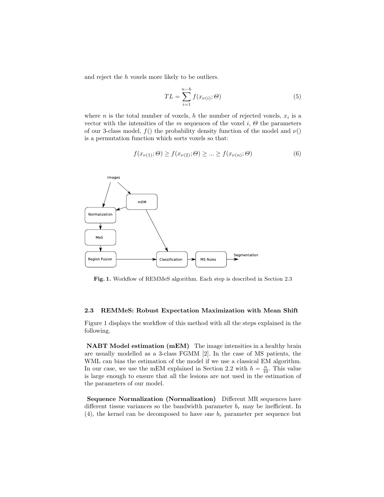and reject the h voxels more likely to be outliers.

$$
TL = \sum_{i=1}^{n-h} f(x_{\nu(i)}; \Theta)
$$
\n(5)

where *n* is the total number of voxels, *h* the number of rejected voxels,  $x_i$  is a vector with the intensities of the m sequences of the voxel i,  $\Theta$  the parameters of our 3-class model,  $f()$  the probability density function of the model and  $\nu()$ is a permutation function which sorts voxels so that:

$$
f(x_{\nu(1)}; \Theta) \ge f(x_{\nu(2)}; \Theta) \ge \dots \ge f(x_{\nu(n)}; \Theta)
$$
\n<sup>(6)</sup>



Fig. 1. Workflow of REMMeS algorithm. Each step is described in Section 2.3

#### 2.3 REMMeS: Robust Expectation Maximization with Mean Shift

Figure 1 displays the workflow of this method with all the steps explained in the following.

NABT Model estimation (mEM) The image intensities in a healthy brain are usually modelled as a 3-class FGMM [2]. In the case of MS patients, the WML can bias the estimation of the model if we use a classical EM algorithm. In our case, we use the mEM explained in Section 2.2 with  $h = \frac{n}{10}$ . This value is large enough to ensure that all the lesions are not used in the estimation of the parameters of our model.

Sequence Normalization (Normalization) Different MR sequences have different tissue variances so the bandwidth parameter  $b_r$  may be inefficient. In (4), the kernel can be decomposed to have one  $b_r$  parameter per sequence but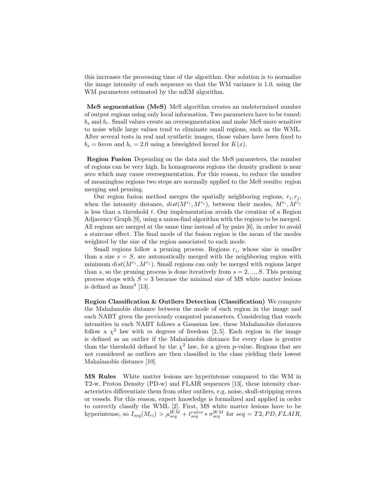this increases the processing time of the algorithm. Our solution is to normalize the image intensity of each sequence so that the WM variance is 1.0, using the WM parameters estimated by the mEM algorithm.

MeS segmentation (MeS) MeS algorithm creates an undetermined number of output regions using only local information. Two parameters have to be tuned:  $b_s$  and  $b_r$ . Small values create an oversegmentation and make MeS more sensitive to noise while large values tend to eliminate small regions, such as the WML. After several tests in real and synthetic images, those values have been fixed to  $b_s = 6mm$  and  $b_r = 2.0$  using a biweighted kernel for  $K(x)$ .

Region Fusion Depending on the data and the MeS parameters, the number of regions can be very high. In homogeneous regions the density gradient is near zero which may cause oversegmentation. For this reason, to reduce the number of meaningless regions two steps are normally applied to the MeS results: region merging and pruning.

Our region fusion method merges the spatially neighboring regions,  $r_i, r_j$ , when the intensity distance,  $dist(M^{r_i}, M^{r_j})$ , between their modes,  $M^{r_i}, M^{r_j}$ is less than a threshold  $t$ . Our implementation avoids the creation of a Region Adjacency Graph [9], using a union-find algorithm with the regions to be merged. All regions are merged at the same time instead of by pairs [6], in order to avoid a staircase effect. The final mode of the fusion region is the mean of the modes weighted by the size of the region associated to each mode.

Small regions follow a pruning process. Regions  $r_i$ , whose size is smaller than a size  $s = S$ , are automatically merged with the neighboring region with minimum  $dist(M^{r_i}, M^{r_j})$ . Small regions can only be merged with regions larger than s, so the pruning process is done iteratively from  $s = 2, ..., S$ . This pruning process stops with  $S = 3$  because the minimal size of MS white matter lesions is defined as  $3mm^3$  [13].

Region Classification & Outliers Detection (Classification) We compute the Mahalanobis distance between the mode of each region in the image and each NABT given the previously computed parameters. Considering that voxels intensities in each NABT follows a Gaussian law, these Mahalanobis distances follow a  $\chi^2$  law with m degrees of freedom [2,5]. Each region in the image is defined as an outlier if the Mahalanobis distance for every class is greater than the threshold defined by the  $\chi^2$  law, for a given p-value. Regions that are not considered as outliers are then classified in the class yielding their lowest Mahalanobis distance [10].

MS Rules White matter lesions are hyperintense compared to the WM in T2-w, Proton Density (PD-w) and FLAIR sequences [13], these intensity characteristics differentiate them from other outliers, e.g. noise, skull-stripping errors or vessels. For this reason, expert knowledge is formalized and applied in order to correctly classify the WML [2]. First, MS white matter lesions have to be hyperintense, so  $I_{seq}(M_{ri}) > \mu_{seq}^{WM} + t_{seq}^{rules} * \sigma_{seq}^{WM}$  for  $seq = T2, PD, FLAIR$ ,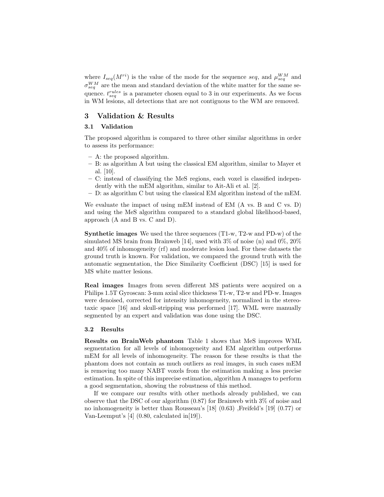where  $I_{seq}(M^{ri})$  is the value of the mode for the sequence seq, and  $\mu_{seq}^{WM}$  and  $\sigma_{seq}^{WM}$  are the mean and standard deviation of the white matter for the same sequence.  $t_{\text{seq}}^{rules}$  is a parameter chosen equal to 3 in our experiments. As we focus in WM lesions, all detections that are not contiguous to the WM are removed.

# 3 Validation & Results

### 3.1 Validation

The proposed algorithm is compared to three other similar algorithms in order to assess its performance:

- A: the proposed algorithm.
- B: as algorithm A but using the classical EM algorithm, similar to Mayer et al. [10].
- C: instead of classifying the MeS regions, each voxel is classified independently with the mEM algorithm, similar to Ait-Ali et al. [2].
- D: as algorithm C but using the classical EM algorithm instead of the mEM.

We evaluate the impact of using mEM instead of EM (A vs. B and C vs. D) and using the MeS algorithm compared to a standard global likelihood-based, approach (A and B vs. C and D).

**Synthetic images** We used the three sequences  $(T_1-w, T_2-w, T_1-w)$  of the simulated MS brain from Brainweb [14], used with  $3\%$  of noise (n) and  $0\%$ ,  $20\%$ and 40% of inhomogeneity (rf) and moderate lesion load. For these datasets the ground truth is known. For validation, we compared the ground truth with the automatic segmentation, the Dice Similarity Coefficient (DSC) [15] is used for MS white matter lesions.

Real images Images from seven different MS patients were acquired on a Philips 1.5T Gyroscan: 3-mm axial slice thickness T1-w, T2-w and PD-w. Images were denoised, corrected for intensity inhomogeneity, normalized in the stereotaxic space [16] and skull-stripping was performed [17]. WML were manually segmented by an expert and validation was done using the DSC.

#### 3.2 Results

Results on BrainWeb phantom Table 1 shows that MeS improves WML segmentation for all levels of inhomogeneity and EM algorithm outperforms mEM for all levels of inhomogeneity. The reason for these results is that the phantom does not contain as much outliers as real images, in such cases mEM is removing too many NABT voxels from the estimation making a less precise estimation. In spite of this imprecise estimation, algorithm A manages to perform a good segmentation, showing the robustness of this method.

If we compare our results with other methods already published, we can observe that the DSC of our algorithm (0.87) for Brainweb with 3% of noise and no inhomogeneity is better than Rousseau's [18] (0.63) ,Freifeld's [19] (0.77) or Van-Leemput's [4] (0.80, calculated in[19]).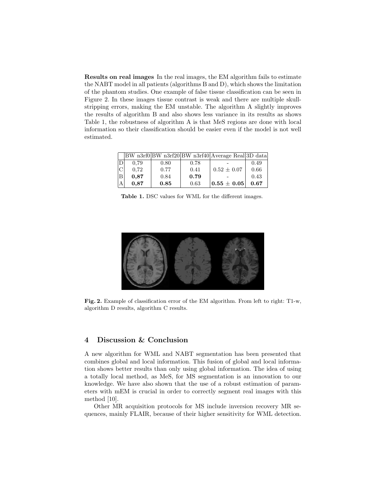Results on real images In the real images, the EM algorithm fails to estimate the NABT model in all patients (algorithms B and D), which shows the limitation of the phantom studies. One example of false tissue classification can be seen in Figure 2. In these images tissue contrast is weak and there are multiple skullstripping errors, making the EM unstable. The algorithm A slightly improves the results of algorithm B and also shows less variance in its results as shows Table 1, the robustness of algorithm A is that MeS regions are done with local information so their classification should be easier even if the model is not well estimated.

|     |      |      |      | BW n3rf0 BW n3rf20 BW n3rf40 Average Real 3D data |      |
|-----|------|------|------|---------------------------------------------------|------|
| IDI | 0.79 | 0.80 | 0.78 |                                                   | 0.49 |
| C   | 0.72 | 0.77 | 0.41 | $0.52 \pm 0.07$                                   | 0.66 |
| lB. | 0.87 | 0.84 | 0.79 |                                                   | 0.43 |
| lА  | 0.87 | 0.85 | 0.63 | $10.55 \pm 0.05$                                  | 0.67 |

Table 1. DSC values for WML for the different images.



Fig. 2. Example of classification error of the EM algorithm. From left to right: T1-w, algorithm D results, algorithm C results.

# 4 Discussion & Conclusion

A new algorithm for WML and NABT segmentation has been presented that combines global and local information. This fusion of global and local information shows better results than only using global information. The idea of using a totally local method, as MeS, for MS segmentation is an innovation to our knowledge. We have also shown that the use of a robust estimation of parameters with mEM is crucial in order to correctly segment real images with this method [10].

Other MR acquisition protocols for MS include inversion recovery MR sequences, mainly FLAIR, because of their higher sensitivity for WML detection.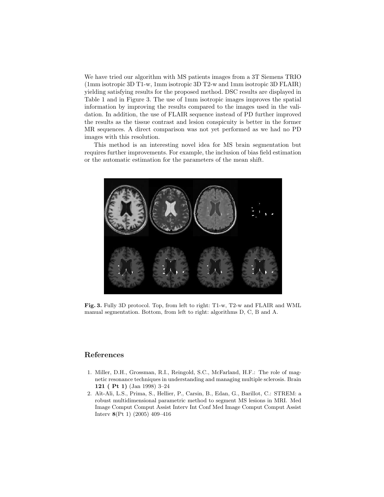We have tried our algorithm with MS patients images from a 3T Siemens TRIO (1mm isotropic 3D T1-w, 1mm isotropic 3D T2-w and 1mm isotropic 3D FLAIR) yielding satisfying results for the proposed method. DSC results are displayed in Table 1 and in Figure 3. The use of 1mm isotropic images improves the spatial information by improving the results compared to the images used in the validation. In addition, the use of FLAIR sequence instead of PD further improved the results as the tissue contrast and lesion conspicuity is better in the former MR sequences. A direct comparison was not yet performed as we had no PD images with this resolution.

This method is an interesting novel idea for MS brain segmentation but requires further improvements. For example, the inclusion of bias field estimation or the automatic estimation for the parameters of the mean shift.



Fig. 3. Fully 3D protocol. Top, from left to right: T1-w, T2-w and FLAIR and WML manual segmentation. Bottom, from left to right: algorithms D, C, B and A.

# References

- 1. Miller, D.H., Grossman, R.I., Reingold, S.C., McFarland, H.F.: The role of magnetic resonance techniques in understanding and managing multiple sclerosis. Brain 121 ( Pt 1) (Jan 1998) 3–24
- 2. A¨ıt-Ali, L.S., Prima, S., Hellier, P., Carsin, B., Edan, G., Barillot, C.: STREM: a robust multidimensional parametric method to segment MS lesions in MRI. Med Image Comput Comput Assist Interv Int Conf Med Image Comput Comput Assist Interv 8(Pt 1) (2005) 409–416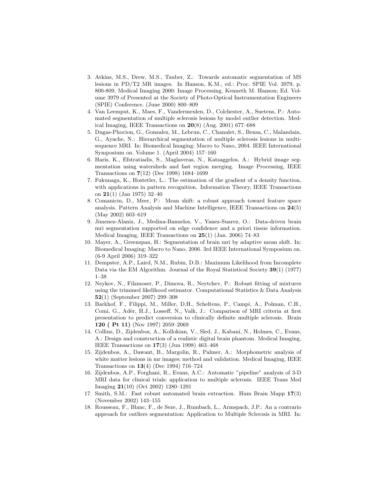- 3. Atkins, M.S., Drew, M.S., Tauber, Z.: Towards automatic segmentation of MS lesions in PD/T2 MR images. In Hanson, K.M., ed.: Proc. SPIE Vol. 3979, p. 800-809, Medical Imaging 2000: Image Processing, Kenneth M. Hanson; Ed. Volume 3979 of Presented at the Society of Photo-Optical Instrumentation Engineers (SPIE) Conference. (June 2000) 800–809
- 4. Van Leemput, K., Maes, F., Vandermeulen, D., Colchester, A., Suetens, P.: Automated segmentation of multiple sclerosis lesions by model outlier detection. Medical Imaging, IEEE Transactions on 20(8) (Aug. 2001) 677–688
- 5. Dugas-Phocion, G., Gonzalez, M., Lebrun, C., Chanalet, S., Bensa, C., Malandain, G., Ayache, N.: Hierarchical segmentation of multiple sclerosis lesions in multisequence MRI. In: Biomedical Imaging: Macro to Nano, 2004. IEEE International Symposium on. Volume 1. (April 2004) 157–160
- 6. Haris, K., Efstratiadis, S., Maglaveras, N., Katsaggelos, A.: Hybrid image segmentation using watersheds and fast region merging. Image Processing, IEEE Transactions on 7(12) (Dec 1998) 1684–1699
- 7. Fukunaga, K., Hostetler, L.: The estimation of the gradient of a density function, with applications in pattern recognition. Information Theory, IEEE Transactions on 21(1) (Jan 1975) 32–40
- 8. Comaniciu, D., Meer, P.: Mean shift: a robust approach toward feature space analysis. Pattern Analysis and Machine Intelligence, IEEE Transactions on 24(5) (May 2002) 603–619
- 9. Jimenez-Alaniz, J., Medina-Banuelos, V., Yanez-Suarez, O.: Data-driven brain mri segmentation supported on edge confidence and a priori tissue information. Medical Imaging, IEEE Transactions on 25(1) (Jan. 2006) 74–83
- 10. Mayer, A., Greenspan, H.: Segmentation of brain mri by adaptive mean shift. In: Biomedical Imaging: Macro to Nano, 2006. 3rd IEEE International Symposium on. (6-9 April 2006) 319–322
- 11. Dempster, A.P., Laird, N.M., Rubin, D.B.: Maximum Likelihood from Incomplete Data via the EM Algorithm. Journal of the Royal Statistical Society 39(1) (1977) 1–38
- 12. Neykov, N., Filzmoser, P., Dimova, R., Neytchev, P.: Robust fitting of mixtures using the trimmed likelihood estimator. Computational Statistics & Data Analysis 52(1) (September 2007) 299–308
- 13. Barkhof, F., Filippi, M., Miller, D.H., Scheltens, P., Campi, A., Polman, C.H., Comi, G., Adèr, H.J., Losseff, N., Valk, J.: Comparison of MRI criteria at first presentation to predict conversion to clinically definite multiple sclerosis. Brain 120 ( Pt 11) (Nov 1997) 2059–2069
- 14. Collins, D., Zijdenbos, A., Kollokian, V., Sled, J., Kabani, N., Holmes, C., Evans, A.: Design and construction of a realistic digital brain phantom. Medical Imaging, IEEE Transactions on 17(3) (Jun 1998) 463–468
- 15. Zijdenbos, A., Dawant, B., Margolin, R., Palmer, A.: Morphometric analysis of white matter lesions in mr images: method and validation. Medical Imaging, IEEE Transactions on 13(4) (Dec 1994) 716–724
- 16. Zijdenbos, A.P., Forghani, R., Evans, A.C.: Automatic "pipeline" analysis of 3-D MRI data for clinical trials: application to multiple sclerosis. IEEE Trans Med Imaging 21(10) (Oct 2002) 1280–1291
- 17. Smith, S.M.: Fast robust automated brain extraction. Hum Brain Mapp 17(3) (November 2002) 143–155
- 18. Rousseau, F., Blanc, F., de Seze, J., Rumbach, L., Armspach, J.P.: An a contrario approach for outliers segmentation: Application to Multiple Sclerosis in MRI. In: